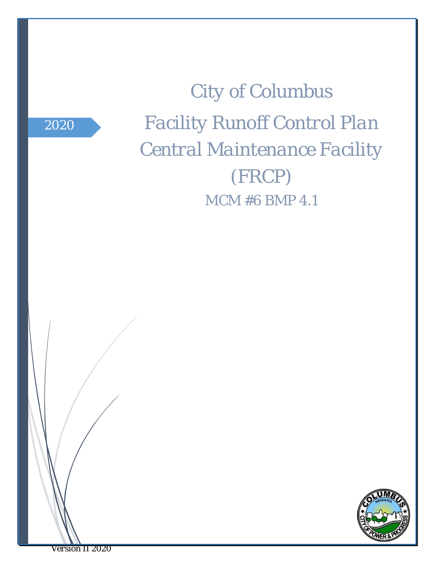*2020*

*City of Columbus Facility Runoff Control Plan Central Maintenance Facility (FRCP) MCM #6 BMP 4.1*



*Version II 2020*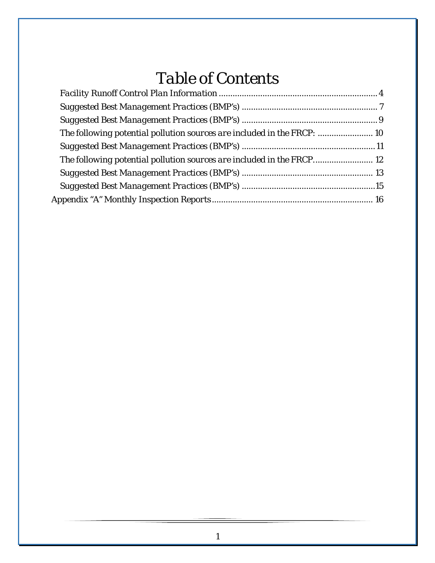# *Table of Contents*

| The following potential pollution sources are included in the FRCP:  10 |  |
|-------------------------------------------------------------------------|--|
|                                                                         |  |
| The following potential pollution sources are included in the FRCP 12   |  |
|                                                                         |  |
|                                                                         |  |
|                                                                         |  |
|                                                                         |  |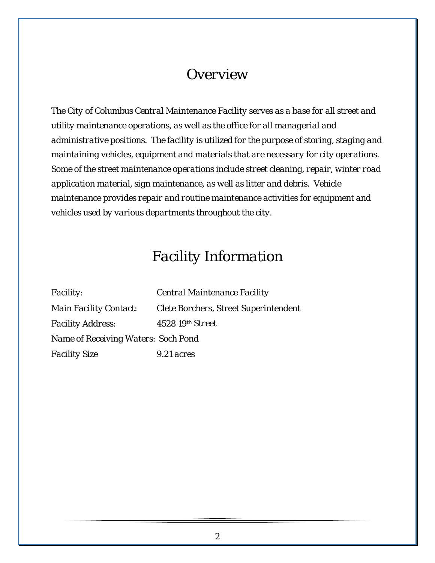### *Overview*

*The City of Columbus Central Maintenance Facility serves as a base for all street and utility maintenance operations, as well as the office for all managerial and administrative positions. The facility is utilized for the purpose of storing, staging and maintaining vehicles, equipment and materials that are necessary for city operations. Some of the street maintenance operations include street cleaning, repair, winter road application material, sign maintenance, as well as litter and debris. Vehicle maintenance provides repair and routine maintenance activities for equipment and vehicles used by various departments throughout the city.*

### *Facility Information*

*Facility: Central Maintenance Facility Main Facility Contact: Clete Borchers, Street Superintendent Facility Address: 4528 19th Street Name of Receiving Waters: Soch Pond Facility Size 9.21 acres*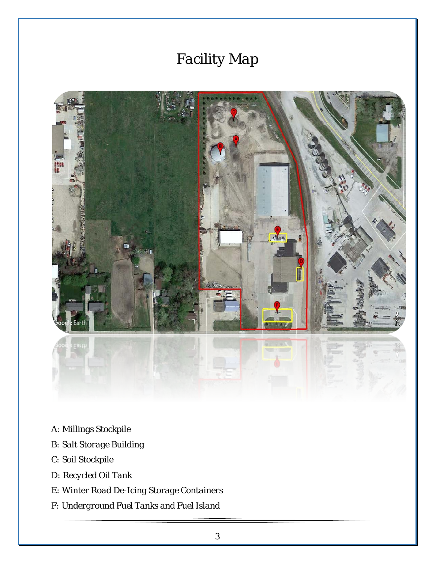# *Facility Map*



- A*: Millings Stockpile*
- *B: Salt Storage Building*
- *C: Soil Stockpile*
- *D: Recycled Oil Tank*
- *E: Winter Road De-Icing Storage Containers*
- *F: Underground Fuel Tanks and Fuel Island*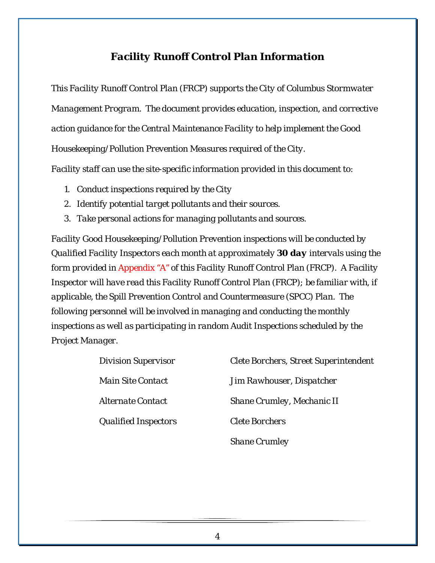#### *Facility Runoff Control Plan Information*

<span id="page-4-0"></span>*This Facility Runoff Control Plan (FRCP) supports the City of Columbus Stormwater Management Program. The document provides education, inspection, and corrective action guidance for the Central Maintenance Facility to help implement the Good Housekeeping/Pollution Prevention Measures required of the City.* 

*Facility staff can use the site-specific information provided in this document to:*

- *1. Conduct inspections required by the City*
- *2. Identify potential target pollutants and their sources.*
- *3. Take personal actions for managing pollutants and sources.*

*Facility Good Housekeeping/Pollution Prevention inspections will be conducted by Qualified Facility Inspectors each month at approximately 30 day intervals using the form provided in Appendix "A" of this Facility Runoff Control Plan (FRCP). A Facility Inspector will have read this Facility Runoff Control Plan (FRCP); be familiar with, if applicable, the Spill Prevention Control and Countermeasure (SPCC) Plan. The following personnel will be involved in managing and conducting the monthly inspections as well as participating in random Audit Inspections scheduled by the Project Manager.*

| <b>Division Supervisor</b>      | <b>Clete Borchers, Street Superintendent</b> |
|---------------------------------|----------------------------------------------|
| <i><b>Main Site Contact</b></i> | Jim Rawhouser, Dispatcher                    |
| <i><b>Alternate Contact</b></i> | Shane Crumley, Mechanic II                   |
| <b>Qualified Inspectors</b>     | <b>Clete Borchers</b>                        |
|                                 | <b>Shane Crumley</b>                         |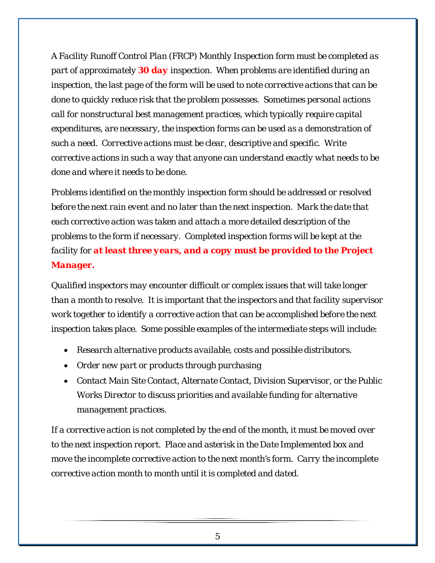*A Facility Runoff Control Plan (FRCP) Monthly Inspection form must be completed as part of approximately 30 day inspection. When problems are identified during an inspection, the last page of the form will be used to note corrective actions that can be done to quickly reduce risk that the problem possesses. Sometimes personal actions call for nonstructural best management practices, which typically require capital expenditures, are necessary, the inspection forms can be used as a demonstration of such a need. Corrective actions must be clear, descriptive and specific. Write corrective actions in such a way that anyone can understand exactly what needs to be done and where it needs to be done.*

*Problems identified on the monthly inspection form should be addressed or resolved before the next rain event and no later than the next inspection. Mark the date that each corrective action was taken and attach a more detailed description of the problems to the form if necessary. Completed inspection forms will be kept at the facility for at least three years, and a copy must be provided to the Project Manager.*

*Qualified inspectors may encounter difficult or complex issues that will take longer than a month to resolve. It is important that the inspectors and that facility supervisor work together to identify a corrective action that can be accomplished before the next inspection takes place. Some possible examples of the intermediate steps will include:*

- *Research alternative products available, costs and possible distributors.*
- *Order new part or products through purchasing*
- *Contact Main Site Contact, Alternate Contact, Division Supervisor, or the Public Works Director to discuss priorities and available funding for alternative management practices.*

*If a corrective action is not completed by the end of the month, it must be moved over to the next inspection report. Place and asterisk in the Date Implemented box and move the incomplete corrective action to the next month's form. Carry the incomplete corrective action month to month until it is completed and dated.*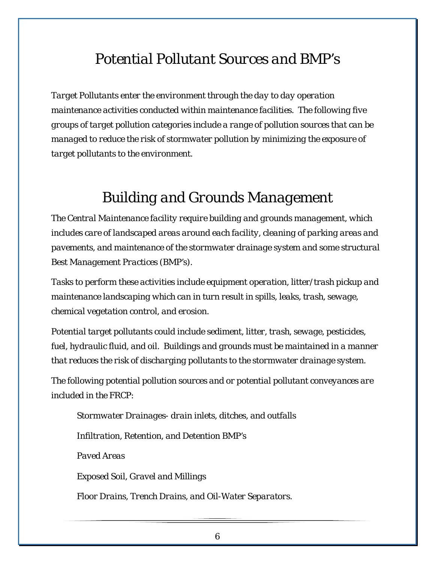### *Potential Pollutant Sources and BMP's*

*Target Pollutants enter the environment through the day to day operation maintenance activities conducted within maintenance facilities. The following five groups of target pollution categories include a range of pollution sources that can be managed to reduce the risk of stormwater pollution by minimizing the exposure of target pollutants to the environment.*

## *Building and Grounds Management*

*The Central Maintenance facility require building and grounds management, which includes care of landscaped areas around each facility, cleaning of parking areas and pavements, and maintenance of the stormwater drainage system and some structural Best Management Practices (BMP's).*

*Tasks to perform these activities include equipment operation, litter/trash pickup and maintenance landscaping which can in turn result in spills, leaks, trash, sewage, chemical vegetation control, and erosion.*

*Potential target pollutants could include sediment, litter, trash, sewage, pesticides, fuel, hydraulic fluid, and oil. Buildings and grounds must be maintained in a manner that reduces the risk of discharging pollutants to the stormwater drainage system.*

*The following potential pollution sources and or potential pollutant conveyances are included in the FRCP:*

*Stormwater Drainages- drain inlets, ditches, and outfalls Infiltration, Retention, and Detention BMP's Paved Areas Exposed Soil, Gravel and Millings Floor Drains, Trench Drains, and Oil-Water Separators.*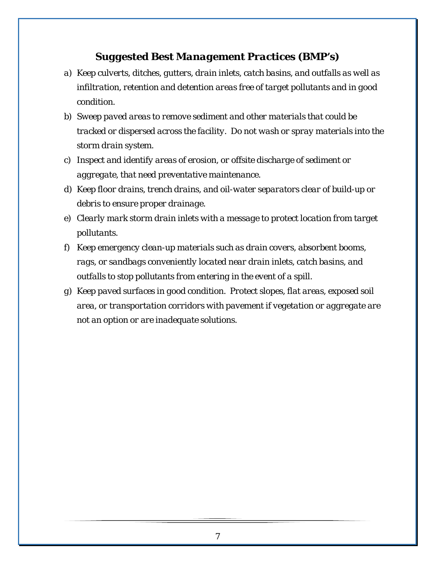- <span id="page-7-0"></span>*a) Keep culverts, ditches, gutters, drain inlets, catch basins, and outfalls as well as infiltration, retention and detention areas free of target pollutants and in good condition.*
- *b) Sweep paved areas to remove sediment and other materials that could be tracked or dispersed across the facility. Do not wash or spray materials into the storm drain system.*
- *c) Inspect and identify areas of erosion, or offsite discharge of sediment or aggregate, that need preventative maintenance.*
- *d) Keep floor drains, trench drains, and oil-water separators clear of build-up or debris to ensure proper drainage.*
- *e) Clearly mark storm drain inlets with a message to protect location from target pollutants.*
- *f) Keep emergency clean-up materials such as drain covers, absorbent booms, rags, or sandbags conveniently located near drain inlets, catch basins, and outfalls to stop pollutants from entering in the event of a spill.*
- *g) Keep paved surfaces in good condition. Protect slopes, flat areas, exposed soil area, or transportation corridors with pavement if vegetation or aggregate are not an option or are inadequate solutions.*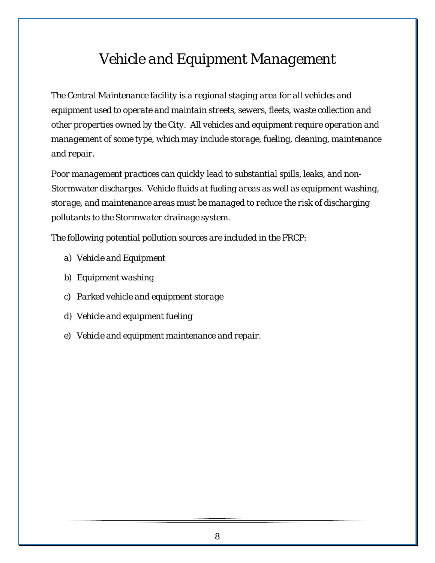## *Vehicle and Equipment Management*

*The Central Maintenance facility is a regional staging area for all vehicles and equipment used to operate and maintain streets, sewers, fleets, waste collection and other properties owned by the City. All vehicles and equipment require operation and management of some type, which may include storage, fueling, cleaning, maintenance and repair.*

*Poor management practices can quickly lead to substantial spills, leaks, and non-Stormwater discharges. Vehicle fluids at fueling areas as well as equipment washing, storage, and maintenance areas must be managed to reduce the risk of discharging pollutants to the Stormwater drainage system.*

*The following potential pollution sources are included in the FRCP:*

- *a) Vehicle and Equipment*
- *b) Equipment washing*
- *c) Parked vehicle and equipment storage*
- *d) Vehicle and equipment fueling*
- *e) Vehicle and equipment maintenance and repair.*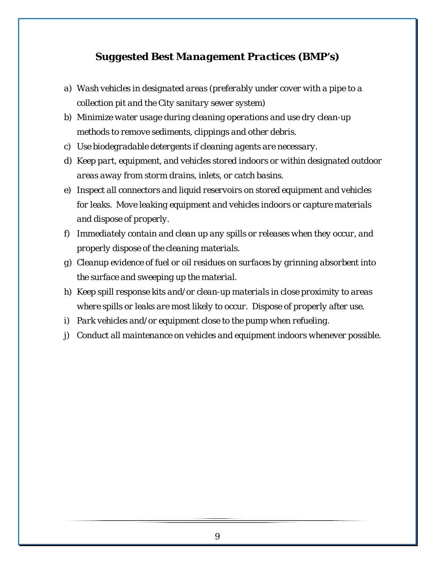- <span id="page-9-0"></span>*a) Wash vehicles in designated areas (preferably under cover with a pipe to a collection pit and the City sanitary sewer system)*
- *b) Minimize water usage during cleaning operations and use dry clean-up methods to remove sediments, clippings and other debris.*
- *c) Use biodegradable detergents if cleaning agents are necessary.*
- *d) Keep part, equipment, and vehicles stored indoors or within designated outdoor areas away from storm drains, inlets, or catch basins.*
- *e) Inspect all connectors and liquid reservoirs on stored equipment and vehicles for leaks. Move leaking equipment and vehicles indoors or capture materials and dispose of properly.*
- *f) Immediately contain and clean up any spills or releases when they occur, and properly dispose of the cleaning materials.*
- *g) Cleanup evidence of fuel or oil residues on surfaces by grinning absorbent into the surface and sweeping up the material.*
- *h) Keep spill response kits and/or clean-up materials in close proximity to areas where spills or leaks are most likely to occur. Dispose of properly after use.*
- *i) Park vehicles and/or equipment close to the pump when refueling.*
- *j) Conduct all maintenance on vehicles and equipment indoors whenever possible.*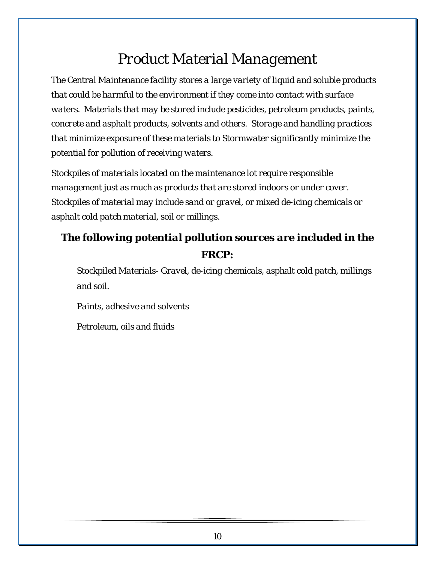# *Product Material Management*

*The Central Maintenance facility stores a large variety of liquid and soluble products that could be harmful to the environment if they come into contact with surface waters. Materials that may be stored include pesticides, petroleum products, paints, concrete and asphalt products, solvents and others. Storage and handling practices that minimize exposure of these materials to Stormwater significantly minimize the potential for pollution of receiving waters.*

*Stockpiles of materials located on the maintenance lot require responsible management just as much as products that are stored indoors or under cover. Stockpiles of material may include sand or gravel, or mixed de-icing chemicals or asphalt cold patch material, soil or millings.*

### <span id="page-10-0"></span>*The following potential pollution sources are included in the FRCP:*

*Stockpiled Materials- Gravel, de-icing chemicals, asphalt cold patch, millings and soil.*

*Paints, adhesive and solvents*

*Petroleum, oils and fluids*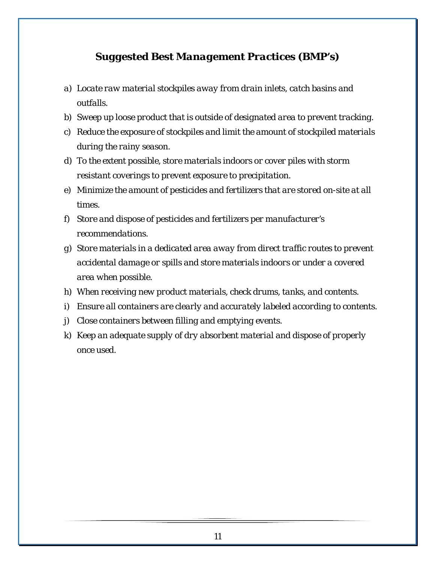- <span id="page-11-0"></span>*a) Locate raw material stockpiles away from drain inlets, catch basins and outfalls.*
- *b) Sweep up loose product that is outside of designated area to prevent tracking.*
- *c) Reduce the exposure of stockpiles and limit the amount of stockpiled materials during the rainy season.*
- *d) To the extent possible, store materials indoors or cover piles with storm resistant coverings to prevent exposure to precipitation.*
- *e) Minimize the amount of pesticides and fertilizers that are stored on-site at all times.*
- *f) Store and dispose of pesticides and fertilizers per manufacturer's recommendations.*
- *g) Store materials in a dedicated area away from direct traffic routes to prevent accidental damage or spills and store materials indoors or under a covered area when possible.*
- *h) When receiving new product materials, check drums, tanks, and contents.*
- *i) Ensure all containers are clearly and accurately labeled according to contents.*
- *j) Close containers between filling and emptying events.*
- *k) Keep an adequate supply of dry absorbent material and dispose of properly once used.*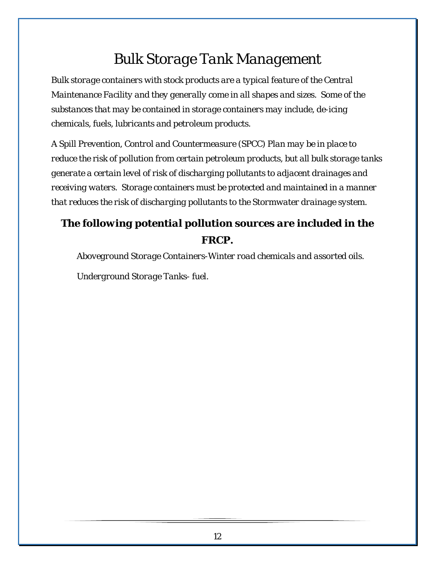# *Bulk Storage Tank Management*

*Bulk storage containers with stock products are a typical feature of the Central Maintenance Facility and they generally come in all shapes and sizes. Some of the substances that may be contained in storage containers may include, de-icing chemicals, fuels, lubricants and petroleum products.*

*A Spill Prevention, Control and Countermeasure (SPCC) Plan may be in place to reduce the risk of pollution from certain petroleum products, but all bulk storage tanks generate a certain level of risk of discharging pollutants to adjacent drainages and receiving waters. Storage containers must be protected and maintained in a manner that reduces the risk of discharging pollutants to the Stormwater drainage system.*

### <span id="page-12-0"></span>*The following potential pollution sources are included in the FRCP.*

*Aboveground Storage Containers-Winter road chemicals and assorted oils.*

*Underground Storage Tanks- fuel.*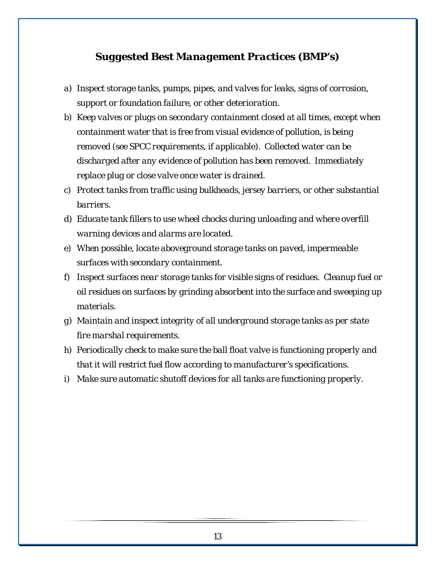- <span id="page-13-0"></span>*a) Inspect storage tanks, pumps, pipes, and valves for leaks, signs of corrosion, support or foundation failure, or other deterioration.*
- *b) Keep valves or plugs on secondary containment closed at all times, except when containment water that is free from visual evidence of pollution, is being removed (see SPCC requirements, if applicable). Collected water can be discharged after any evidence of pollution has been removed. Immediately replace plug or close valve once water is drained.*
- *c) Protect tanks from traffic using bulkheads, jersey barriers, or other substantial barriers.*
- *d) Educate tank fillers to use wheel chocks during unloading and where overfill warning devices and alarms are located.*
- *e) When possible, locate aboveground storage tanks on paved, impermeable surfaces with secondary containment.*
- *f) Inspect surfaces near storage tanks for visible signs of residues. Cleanup fuel or oil residues on surfaces by grinding absorbent into the surface and sweeping up materials.*
- *g) Maintain and inspect integrity of all underground storage tanks as per state fire marshal requirements.*
- *h) Periodically check to make sure the ball float valve is functioning properly and that it will restrict fuel flow according to manufacturer's specifications.*
- *i) Make sure automatic shutoff devices for all tanks are functioning properly.*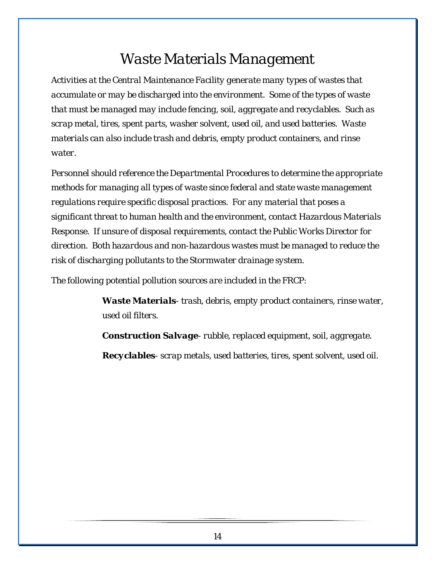## *Waste Materials Management*

*Activities at the Central Maintenance Facility generate many types of wastes that accumulate or may be discharged into the environment. Some of the types of waste that must be managed may include fencing, soil, aggregate and recyclables. Such as scrap metal, tires, spent parts, washer solvent, used oil, and used batteries. Waste materials can also include trash and debris, empty product containers, and rinse water.*

*Personnel should reference the Departmental Procedures to determine the appropriate methods for managing all types of waste since federal and state waste management regulations require specific disposal practices. For any material that poses a significant threat to human health and the environment, contact Hazardous Materials Response. If unsure of disposal requirements, contact the Public Works Director for direction. Both hazardous and non-hazardous wastes must be managed to reduce the risk of discharging pollutants to the Stormwater drainage system.*

*The following potential pollution sources are included in the FRCP:*

*Waste Materials- trash, debris, empty product containers, rinse water, used oil filters.*

*Construction Salvage- rubble, replaced equipment, soil, aggregate.*

*Recyclables- scrap metals, used batteries, tires, spent solvent, used oil.*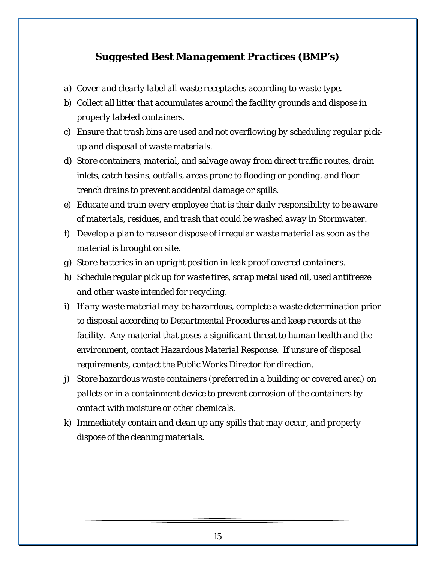- <span id="page-15-0"></span>*a) Cover and clearly label all waste receptacles according to waste type.*
- *b) Collect all litter that accumulates around the facility grounds and dispose in properly labeled containers.*
- *c) Ensure that trash bins are used and not overflowing by scheduling regular pickup and disposal of waste materials.*
- *d) Store containers, material, and salvage away from direct traffic routes, drain inlets, catch basins, outfalls, areas prone to flooding or ponding, and floor trench drains to prevent accidental damage or spills.*
- *e) Educate and train every employee that is their daily responsibility to be aware of materials, residues, and trash that could be washed away in Stormwater.*
- *f) Develop a plan to reuse or dispose of irregular waste material as soon as the material is brought on site.*
- *g) Store batteries in an upright position in leak proof covered containers.*
- *h) Schedule regular pick up for waste tires, scrap metal used oil, used antifreeze and other waste intended for recycling.*
- *i) If any waste material may be hazardous, complete a waste determination prior to disposal according to Departmental Procedures and keep records at the facility. Any material that poses a significant threat to human health and the environment, contact Hazardous Material Response. If unsure of disposal requirements, contact the Public Works Director for direction.*
- *j) Store hazardous waste containers (preferred in a building or covered area) on pallets or in a containment device to prevent corrosion of the containers by contact with moisture or other chemicals.*
- *k) Immediately contain and clean up any spills that may occur, and properly dispose of the cleaning materials.*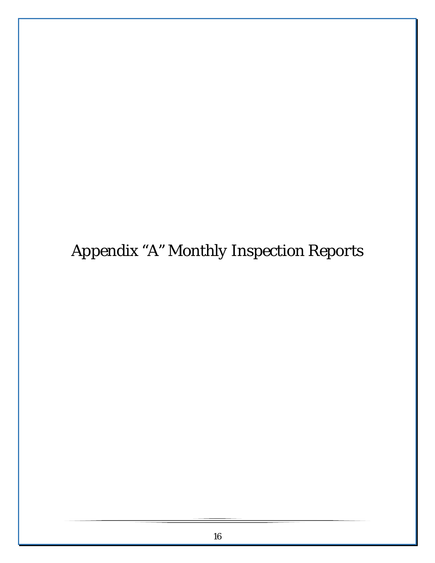<span id="page-16-0"></span>*Appendix "A" Monthly Inspection Reports*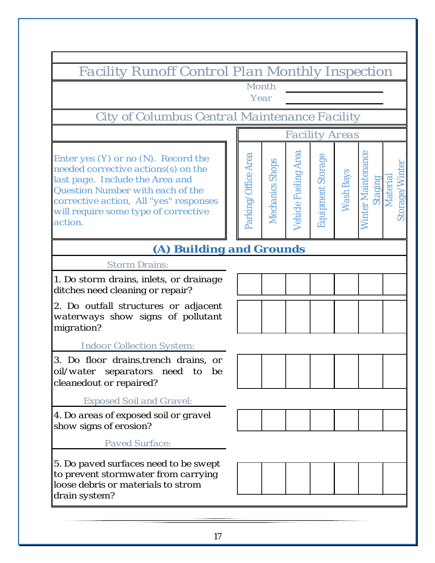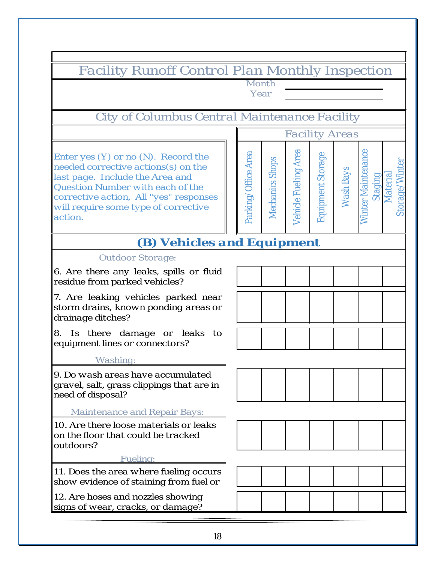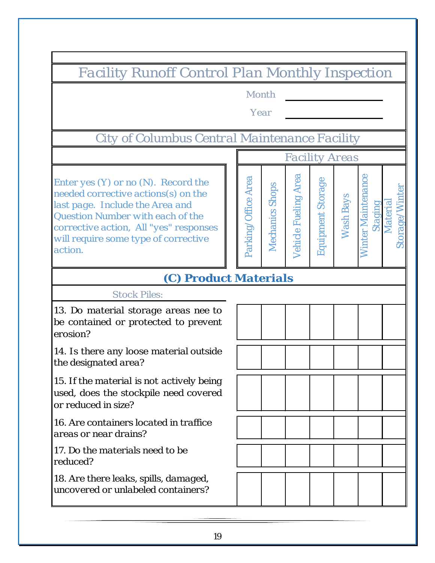*Facility Runoff Control Plan Monthly Inspection Month YearCity of Columbus Central Maintenance Facility Facility Areas Winter Maintenance*  Vehicle Fueling Area *Vehicle Fueling Area* Parking/Office Area **inter Maintenance** *Parking/Office Area Enter yes (Y) or no (N). Record the Equipment Storage* Equipment Storage Mechanics Shops *Storage/Winter Mechanics Shops* orage/Winter *needed corrective actions(s) on the Wash Bays Material Staging* Material *last page. Include the Area and Question Number with each of the corrective action, All "yes" responses will require some type of corrective*  お *action. (C) Product Materials Stock Piles: 13. Do material storage areas nee to be contained or protected to prevent erosion? 14. Is there any loose material outside the designated area? 15. If the material is not actively being used, does the stockpile need covered or reduced in size? 16. Are containers located in traffice areas or near drains? 17. Do the materials need to be reduced? 18. Are there leaks, spills, damaged, uncovered or unlabeled containers?*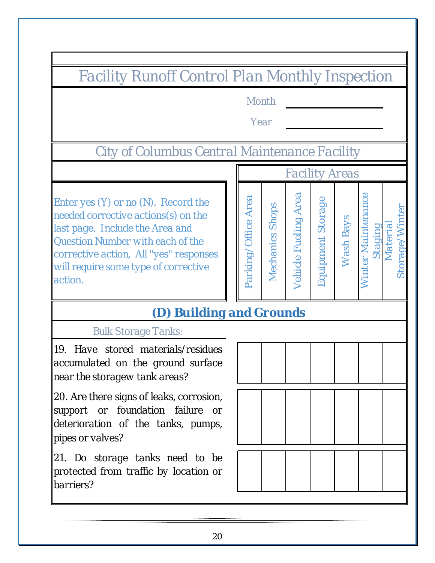*Facility Runoff Control Plan Monthly Inspection*

*Month*

*Year*

*City of Columbus Central Maintenance Facility*

*Enter yes (Y) or no (N). Record the needed corrective actions(s) on the last page. Include the Area and Question Number with each of the corrective action, All "yes" responses will require some type of corrective action.*



*Winter Maintenance Staging Material Storage/Winter* 

inter Maintenance

Storage/Winter

Material

## *(D) Building and Grounds*

*Bulk Storage Tanks:*

*19. Have stored materials/residues accumulated on the ground surface near the storagew tank areas?*

*20. Are there signs of leaks, corrosion, support or foundation failure or deterioration of the tanks, pumps, pipes or valves?*

*21. Do storage tanks need to be protected from traffic by location or barriers?*

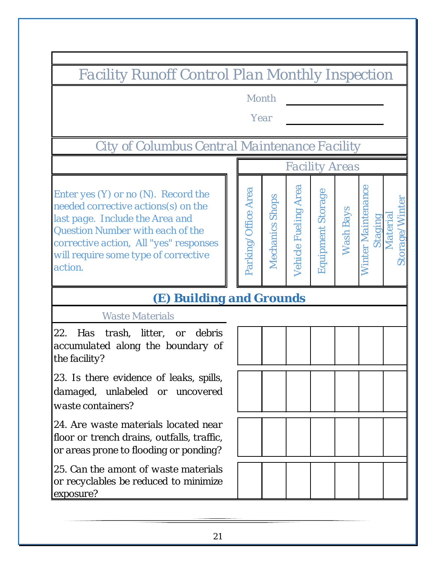*Facility Runoff Control Plan Monthly Inspection*

*Month*

*Year*

*City of Columbus Central Maintenance Facility*

*Enter yes (Y) or no (N). Record the needed corrective actions(s) on the last page. Include the Area and Question Number with each of the corrective action, All "yes" responses will require some type of corrective action.*

### *(E) Building and Grounds*

*Waste Materials*

*22. Has trash, litter, or debris accumulated along the boundary of the facility?*

*23. Is there evidence of leaks, spills, damaged, unlabeled or uncovered waste containers?*

*24. Are waste materials located near floor or trench drains, outfalls, traffic, or areas prone to flooding or ponding?*

*25. Can the amont of waste materials or recyclables be reduced to minimize exposure?*



*Wash Bays*

**Wash Bays** 

*Facility Areas*

*Staging Material*